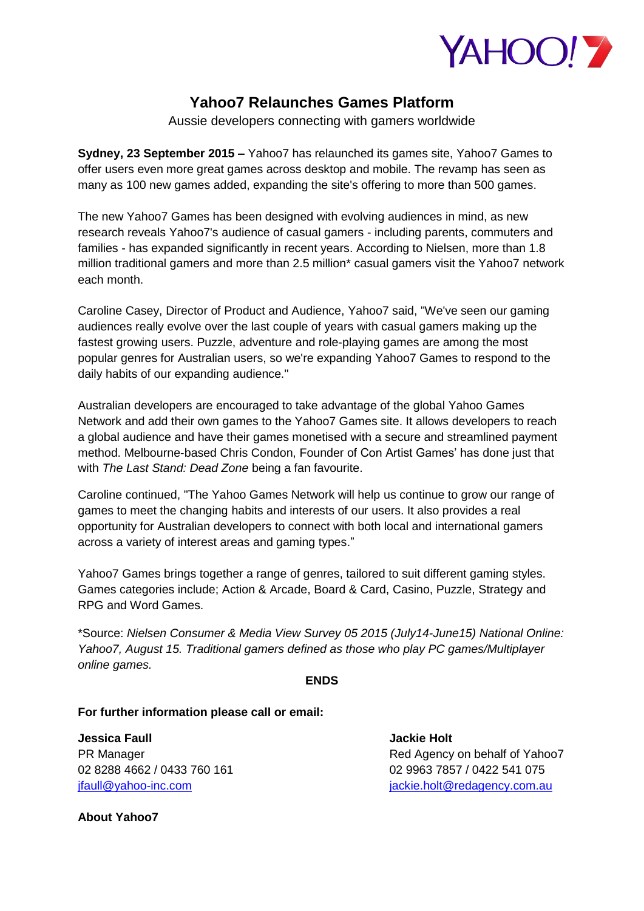

## **Yahoo7 Relaunches Games Platform**

Aussie developers connecting with gamers worldwide

**Sydney, 23 September 2015 –** Yahoo7 has relaunched its games site, Yahoo7 Games to offer users even more great games across desktop and mobile. The revamp has seen as many as 100 new games added, expanding the site's offering to more than 500 games.

The new Yahoo7 Games has been designed with evolving audiences in mind, as new research reveals Yahoo7's audience of casual gamers - including parents, commuters and families - has expanded significantly in recent years. According to Nielsen, more than 1.8 million traditional gamers and more than 2.5 million\* casual gamers visit the Yahoo7 network each month.

Caroline Casey, Director of Product and Audience, Yahoo7 said, "We've seen our gaming audiences really evolve over the last couple of years with casual gamers making up the fastest growing users. Puzzle, adventure and role-playing games are among the most popular genres for Australian users, so we're expanding Yahoo7 Games to respond to the daily habits of our expanding audience."

Australian developers are encouraged to take advantage of the global Yahoo Games Network and add their own games to the Yahoo7 Games site. It allows developers to reach a global audience and have their games monetised with a secure and streamlined payment method. Melbourne-based Chris Condon, Founder of Con Artist Games' has done just that with *The Last Stand: Dead Zone* being a fan favourite.

Caroline continued, "The Yahoo Games Network will help us continue to grow our range of games to meet the changing habits and interests of our users. It also provides a real opportunity for Australian developers to connect with both local and international gamers across a variety of interest areas and gaming types."

Yahoo7 Games brings together a range of genres, tailored to suit different gaming styles. Games categories include; Action & Arcade, Board & Card, Casino, Puzzle, Strategy and RPG and Word Games.

\*Source: *Nielsen Consumer & Media View Survey 05 2015 (July14-June15) National Online: Yahoo7, August 15. Traditional gamers defined as those who play PC games/Multiplayer online games.*

**ENDS**

**For further information please call or email:**

**Jessica Faull Jackie Holt** 

PR Manager **PR Manager Red Agency on behalf of Yahoo7** 02 8288 4662 / 0433 760 161 02 9963 7857 / 0422 541 075 [jfaull@yahoo-inc.com](mailto:jfaull@yahoo-inc.com) [jackie.holt@redagency.com.au](mailto:jackie.holt@redagency.com.au)

**About Yahoo7**